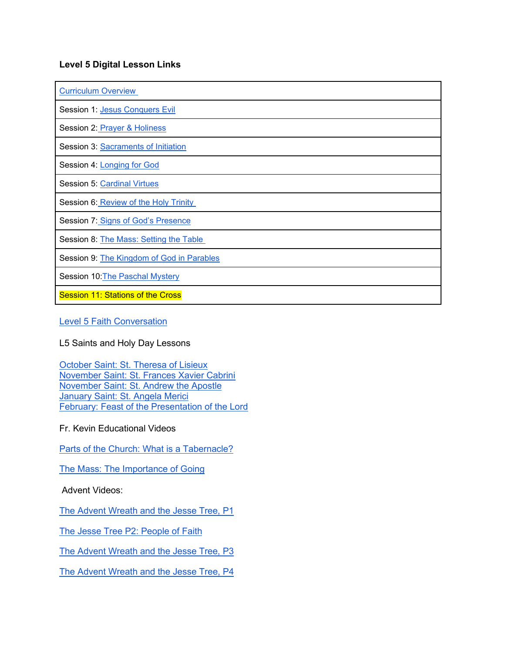## **Level 5 Digital Lesson Links**

| <b>Curriculum Overview</b>                |
|-------------------------------------------|
| Session 1: Jesus Conquers Evil            |
| Session 2: Prayer & Holiness              |
| Session 3: Sacraments of Initiation       |
| Session 4: Longing for God                |
| Session 5: Cardinal Virtues               |
| Session 6: Review of the Holy Trinity     |
| Session 7: Signs of God's Presence        |
| Session 8: The Mass: Setting the Table    |
| Session 9: The Kingdom of God in Parables |
| Session 10: The Paschal Mystery           |
| <b>Session 11: Stations of the Cross</b>  |

[Level 5 Faith Conversation](https://olsvc.blogspot.com/2021/02/level-5-faith-conversation.html)

L5 Saints and Holy Day Lessons

[October Saint: St. Theresa of Lisieux](https://olsvc.blogspot.com/2020/09/october-1st-feast-of-st-theresa-of.html) [November Saint: St. Frances Xavier Cabrini](https://olsvc.blogspot.com/2020/10/november-saints-frances-xavier-cabrini.html) [November Saint: St. Andrew the Apostle](https://olsvc.blogspot.com/2020/11/who-was-st-andrew-apostle.html) [January Saint: St. Angela Merici](https://olsvc.blogspot.com/2020/12/january-saints-st-angela-merici.html) [February: Feast of the Presentation of the Lord](https://olsvc.blogspot.com/2021/01/feast-of-presentation-of-lord.html)

Fr. Kevin Educational Videos

[Parts of the Church: What is a Tabernacle?](https://olsvc.blogspot.com/2020/09/what-is-tabernacle.html)

[The Mass: The Importance of Going](https://olsvc.blogspot.com/2020/11/the-mass-part-1-importance-of-going.html)

Advent Videos:

[The Advent Wreath and the Jesse Tree, P1](https://olsvc.blogspot.com/2020/11/the-advent-wreath-jesse-tree-part-1.html)

[The Jesse Tree P2: People of Faith](https://olsvc.blogspot.com/2020/12/the-jesse-tree-part-2-people-of-faith.html)

[The Advent Wreath and the Jesse Tree, P3](https://olsvc.blogspot.com/2020/12/the-advent-jesse-tree-part-3.html)

[The Advent Wreath and the Jesse Tree, P4](https://olsvc.blogspot.com/2020/12/the-advent-wreath-jesse-tree-part-4.html)